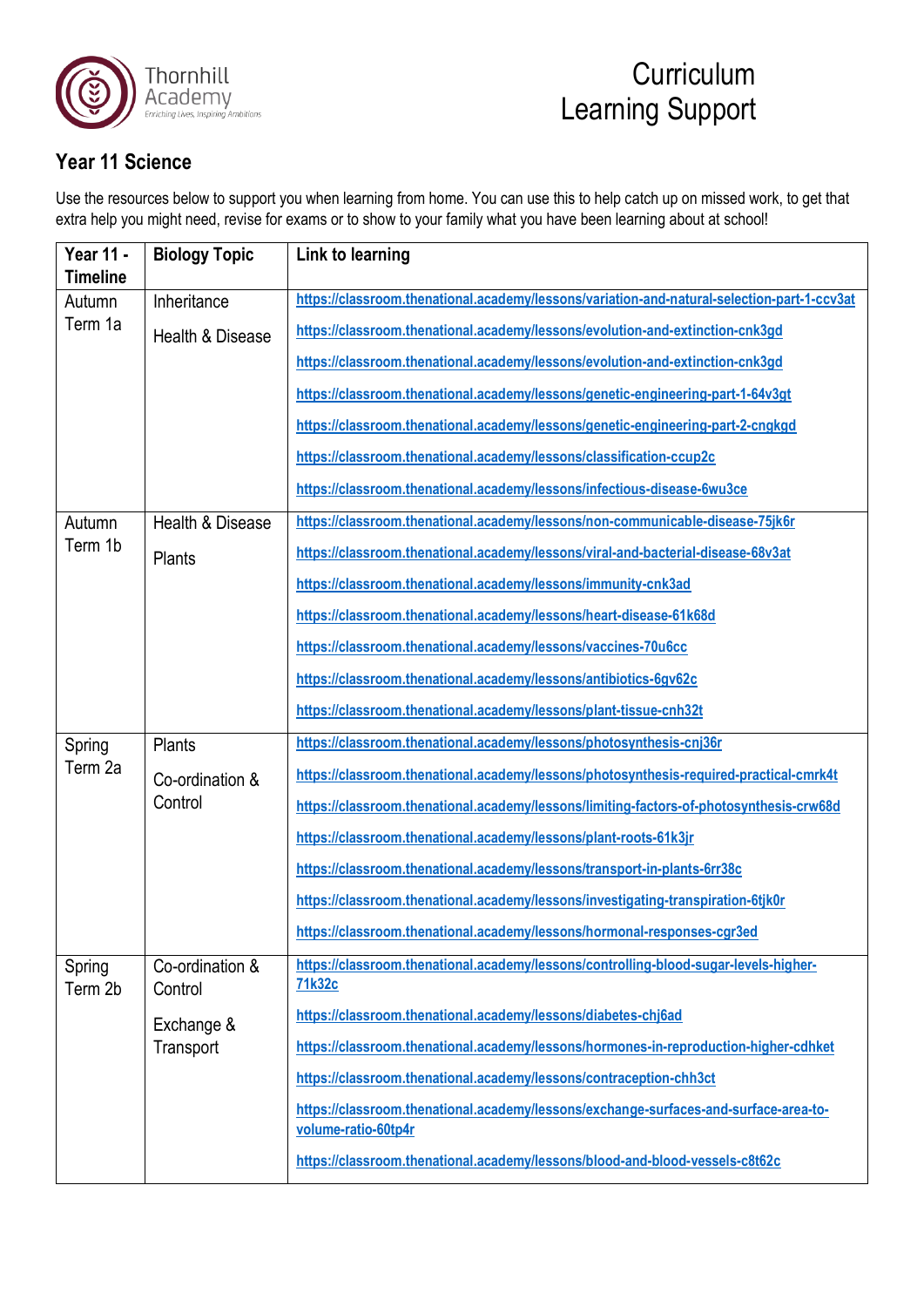

### **Year 11 Science**

Use the resources below to support you when learning from home. You can use this to help catch up on missed work, to get that extra help you might need, revise for exams or to show to your family what you have been learning about at school!

| <b>Year 11 -</b>  | <b>Biology Topic</b>       | Link to learning                                                                                            |
|-------------------|----------------------------|-------------------------------------------------------------------------------------------------------------|
| <b>Timeline</b>   |                            |                                                                                                             |
| Autumn            | Inheritance                | https://classroom.thenational.academy/lessons/variation-and-natural-selection-part-1-ccv3at                 |
| Term 1a           | Health & Disease           | https://classroom.thenational.academy/lessons/evolution-and-extinction-cnk3gd                               |
|                   |                            | https://classroom.thenational.academy/lessons/evolution-and-extinction-cnk3gd                               |
|                   |                            | https://classroom.thenational.academy/lessons/genetic-engineering-part-1-64v3gt                             |
|                   |                            | https://classroom.thenational.academy/lessons/genetic-engineering-part-2-cngkgd                             |
|                   |                            | https://classroom.thenational.academy/lessons/classification-ccup2c                                         |
|                   |                            | https://classroom.thenational.academy/lessons/infectious-disease-6wu3ce                                     |
| Autumn            | Health & Disease           | https://classroom.thenational.academy/lessons/non-communicable-disease-75jk6r                               |
| Term 1b           | <b>Plants</b>              | https://classroom.thenational.academy/lessons/viral-and-bacterial-disease-68v3at                            |
|                   |                            | https://classroom.thenational.academy/lessons/immunity-cnk3ad                                               |
|                   |                            | https://classroom.thenational.academy/lessons/heart-disease-61k68d                                          |
|                   |                            | https://classroom.thenational.academy/lessons/vaccines-70u6cc                                               |
|                   |                            | https://classroom.thenational.academy/lessons/antibiotics-6gv62c                                            |
|                   |                            | https://classroom.thenational.academy/lessons/plant-tissue-cnh32t                                           |
| Spring            | <b>Plants</b>              | https://classroom.thenational.academy/lessons/photosynthesis-cnj36r                                         |
| Term 2a           | Co-ordination &            | https://classroom.thenational.academy/lessons/photosynthesis-required-practical-cmrk4t                      |
|                   | Control                    | https://classroom.thenational.academy/lessons/limiting-factors-of-photosynthesis-crw68d                     |
|                   |                            | https://classroom.thenational.academy/lessons/plant-roots-61k3jr                                            |
|                   |                            | https://classroom.thenational.academy/lessons/transport-in-plants-6rr38c                                    |
|                   |                            | https://classroom.thenational.academy/lessons/investigating-transpiration-6tjk0r                            |
|                   |                            | https://classroom.thenational.academy/lessons/hormonal-responses-cgr3ed                                     |
| Spring<br>Term 2b | Co-ordination &<br>Control | https://classroom.thenational.academy/lessons/controlling-blood-sugar-levels-higher-<br>71k32c              |
|                   | Exchange &<br>Transport    | https://classroom.thenational.academy/lessons/diabetes-chj6ad                                               |
|                   |                            | https://classroom.thenational.academy/lessons/hormones-in-reproduction-higher-cdhket                        |
|                   |                            | https://classroom.thenational.academy/lessons/contraception-chh3ct                                          |
|                   |                            | https://classroom.thenational.academy/lessons/exchange-surfaces-and-surface-area-to-<br>volume-ratio-60tp4r |
|                   |                            | https://classroom.thenational.academy/lessons/blood-and-blood-vessels-c8t62c                                |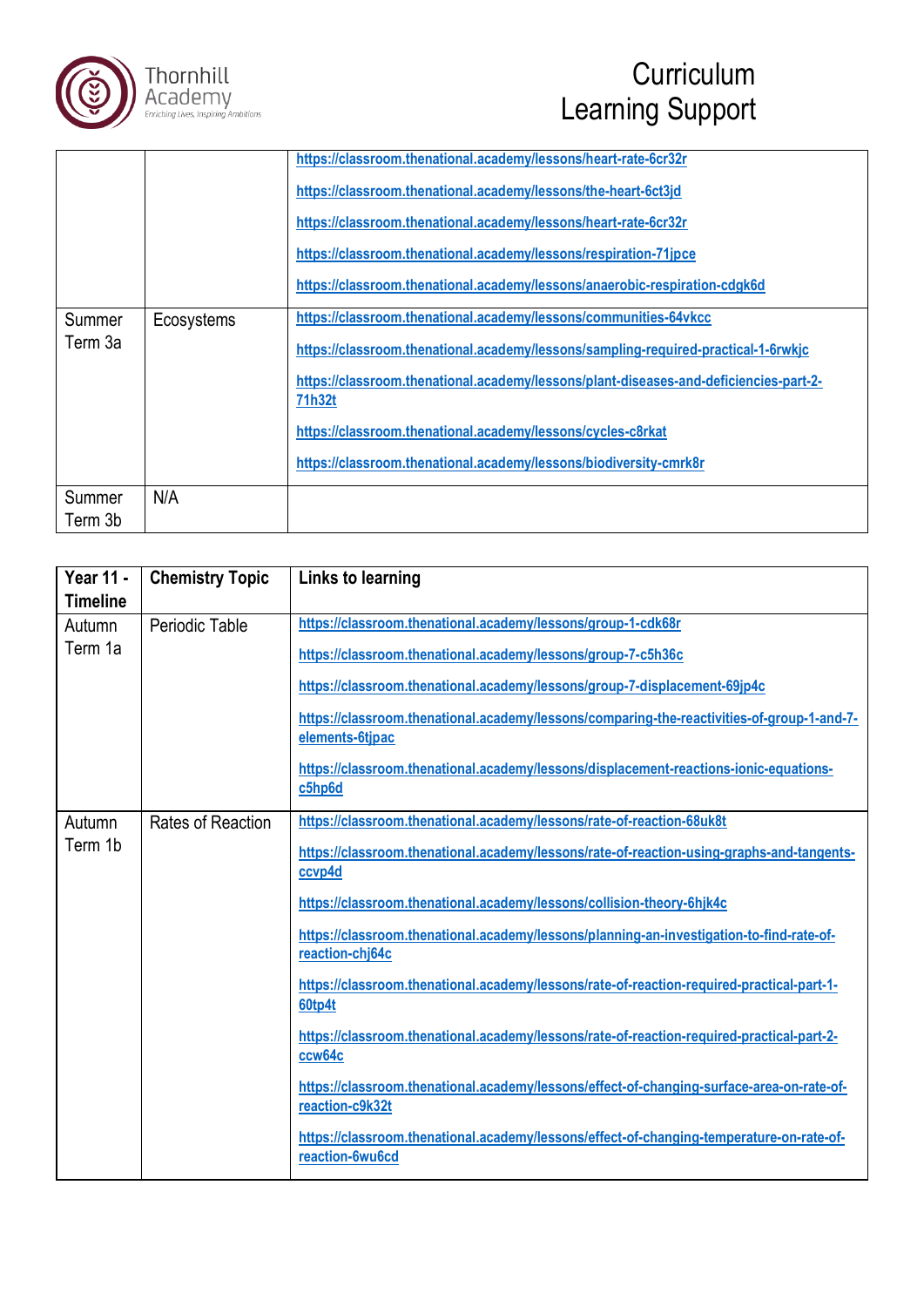

|                   |            | https://classroom.thenational.academy/lessons/heart-rate-6cr32r                                                                                        |
|-------------------|------------|--------------------------------------------------------------------------------------------------------------------------------------------------------|
|                   |            | https://classroom.thenational.academy/lessons/the-heart-6ct3jd                                                                                         |
|                   |            | https://classroom.thenational.academy/lessons/heart-rate-6cr32r                                                                                        |
|                   |            | https://classroom.thenational.academy/lessons/respiration-71jpce                                                                                       |
|                   |            | https://classroom.thenational.academy/lessons/anaerobic-respiration-cdgk6d                                                                             |
| Summer<br>Term 3a | Ecosystems | https://classroom.thenational.academy/lessons/communities-64vkcc<br>https://classroom.thenational.academy/lessons/sampling-required-practical-1-6rwkjc |
|                   |            | https://classroom.thenational.academy/lessons/plant-diseases-and-deficiencies-part-2-<br>71h32t                                                        |
|                   |            | https://classroom.thenational.academy/lessons/cycles-c8rkat                                                                                            |
|                   |            | https://classroom.thenational.academy/lessons/biodiversity-cmrk8r                                                                                      |
| Summer<br>Term 3b | N/A        |                                                                                                                                                        |
|                   |            |                                                                                                                                                        |

| <b>Year 11 -</b> | <b>Chemistry Topic</b> | Links to learning                                                                                             |
|------------------|------------------------|---------------------------------------------------------------------------------------------------------------|
| <b>Timeline</b>  |                        |                                                                                                               |
| Autumn           | Periodic Table         | https://classroom.thenational.academy/lessons/group-1-cdk68r                                                  |
| Term 1a          |                        | https://classroom.thenational.academy/lessons/group-7-c5h36c                                                  |
|                  |                        | https://classroom.thenational.academy/lessons/group-7-displacement-69jp4c                                     |
|                  |                        | https://classroom.thenational.academy/lessons/comparing-the-reactivities-of-group-1-and-7-<br>elements-6tjpac |
|                  |                        | https://classroom.thenational.academy/lessons/displacement-reactions-ionic-equations-<br>c5hp6d               |
| Autumn           | Rates of Reaction      | https://classroom.thenational.academy/lessons/rate-of-reaction-68uk8t                                         |
| Term 1b          |                        | https://classroom.thenational.academy/lessons/rate-of-reaction-using-graphs-and-tangents-<br>ccvp4d           |
|                  |                        | https://classroom.thenational.academy/lessons/collision-theory-6hjk4c                                         |
|                  |                        | https://classroom.thenational.academy/lessons/planning-an-investigation-to-find-rate-of-<br>reaction-chj64c   |
|                  |                        | https://classroom.thenational.academy/lessons/rate-of-reaction-required-practical-part-1-<br>60tp4t           |
|                  |                        | https://classroom.thenational.academy/lessons/rate-of-reaction-required-practical-part-2-<br>ccw64c           |
|                  |                        | https://classroom.thenational.academy/lessons/effect-of-changing-surface-area-on-rate-of-<br>reaction-c9k32t  |
|                  |                        | https://classroom.thenational.academy/lessons/effect-of-changing-temperature-on-rate-of-<br>reaction-6wu6cd   |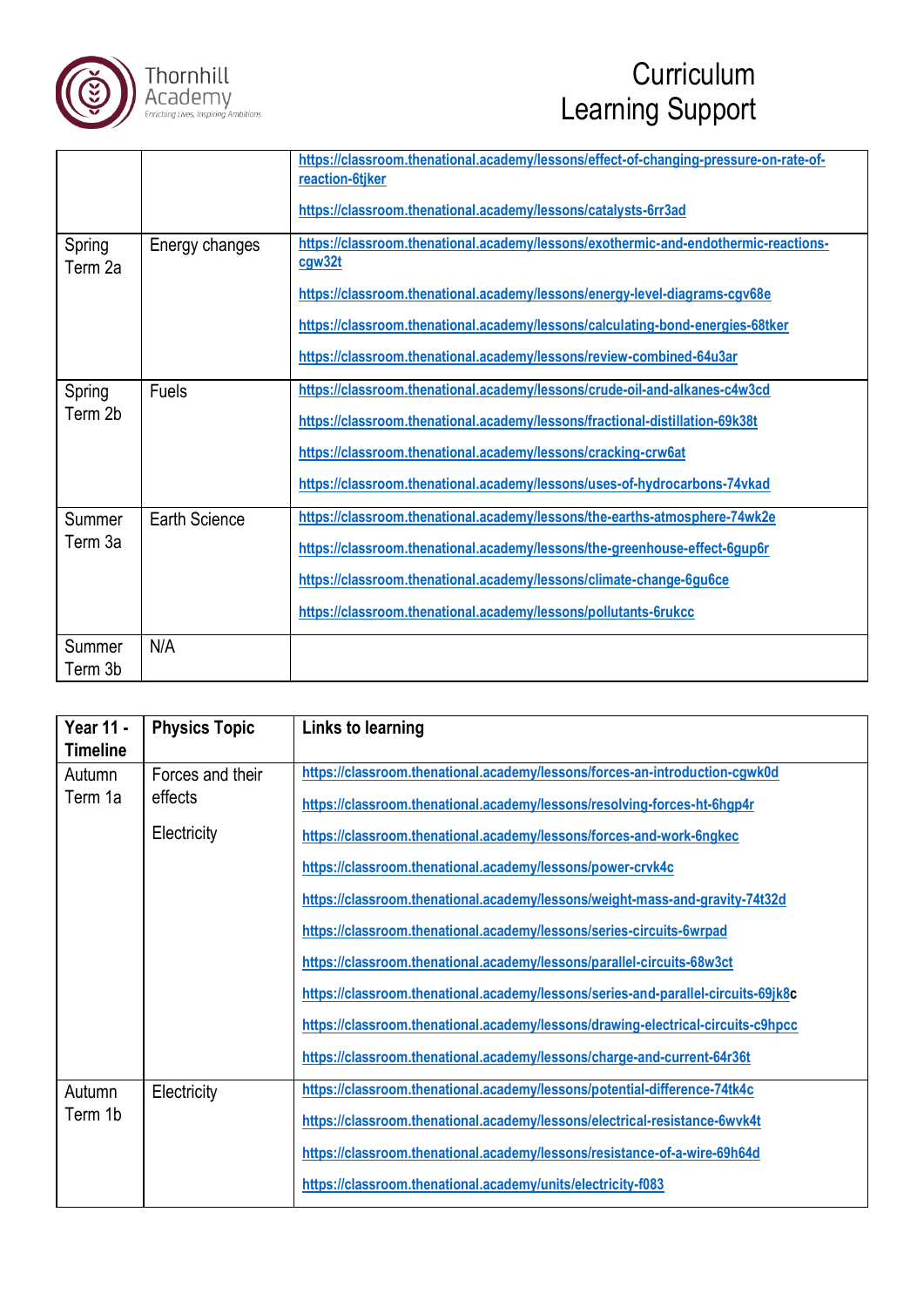

|                   |                | https://classroom.thenational.academy/lessons/effect-of-changing-pressure-on-rate-of-<br>reaction-6tjker |
|-------------------|----------------|----------------------------------------------------------------------------------------------------------|
|                   |                | https://classroom.thenational.academy/lessons/catalysts-6rr3ad                                           |
| Spring<br>Term 2a | Energy changes | https://classroom.thenational.academy/lessons/exothermic-and-endothermic-reactions-<br>$cg$ w32t         |
|                   |                | https://classroom.thenational.academy/lessons/energy-level-diagrams-cgv68e                               |
|                   |                | https://classroom.thenational.academy/lessons/calculating-bond-energies-68tker                           |
|                   |                | https://classroom.thenational.academy/lessons/review-combined-64u3ar                                     |
| Spring            | Fuels          | https://classroom.thenational.academy/lessons/crude-oil-and-alkanes-c4w3cd                               |
| Term 2b           |                | https://classroom.thenational.academy/lessons/fractional-distillation-69k38t                             |
|                   |                | https://classroom.thenational.academy/lessons/cracking-crw6at                                            |
|                   |                | https://classroom.thenational.academy/lessons/uses-of-hydrocarbons-74vkad                                |
| Summer            | Earth Science  | https://classroom.thenational.academy/lessons/the-earths-atmosphere-74wk2e                               |
| Term 3a           |                | https://classroom.thenational.academy/lessons/the-greenhouse-effect-6gup6r                               |
|                   |                | https://classroom.thenational.academy/lessons/climate-change-6gu6ce                                      |
|                   |                | https://classroom.thenational.academy/lessons/pollutants-6rukcc                                          |
| Summer            | N/A            |                                                                                                          |
| Term 3b           |                |                                                                                                          |

| <b>Year 11 -</b><br><b>Timeline</b> | <b>Physics Topic</b>        | Links to learning                                                                                                                                       |
|-------------------------------------|-----------------------------|---------------------------------------------------------------------------------------------------------------------------------------------------------|
| Autumn<br>Term 1a                   | Forces and their<br>effects | https://classroom.thenational.academy/lessons/forces-an-introduction-cgwk0d<br>https://classroom.thenational.academy/lessons/resolving-forces-ht-6hgp4r |
|                                     | Electricity                 | https://classroom.thenational.academy/lessons/forces-and-work-6ngkec                                                                                    |
|                                     |                             | https://classroom.thenational.academy/lessons/power-crvk4c                                                                                              |
|                                     |                             | https://classroom.thenational.academy/lessons/weight-mass-and-gravity-74t32d                                                                            |
|                                     |                             | https://classroom.thenational.academy/lessons/series-circuits-6wrpad                                                                                    |
|                                     |                             | https://classroom.thenational.academy/lessons/parallel-circuits-68w3ct                                                                                  |
|                                     |                             | https://classroom.thenational.academy/lessons/series-and-parallel-circuits-69jk8c                                                                       |
|                                     |                             | https://classroom.thenational.academy/lessons/drawing-electrical-circuits-c9hpcc                                                                        |
|                                     |                             | https://classroom.thenational.academy/lessons/charge-and-current-64r36t                                                                                 |
| Autumn                              | Electricity                 | https://classroom.thenational.academy/lessons/potential-difference-74tk4c                                                                               |
| Term 1b                             |                             | https://classroom.thenational.academy/lessons/electrical-resistance-6wvk4t                                                                              |
|                                     |                             | https://classroom.thenational.academy/lessons/resistance-of-a-wire-69h64d                                                                               |
|                                     |                             | https://classroom.thenational.academy/units/electricity-f083                                                                                            |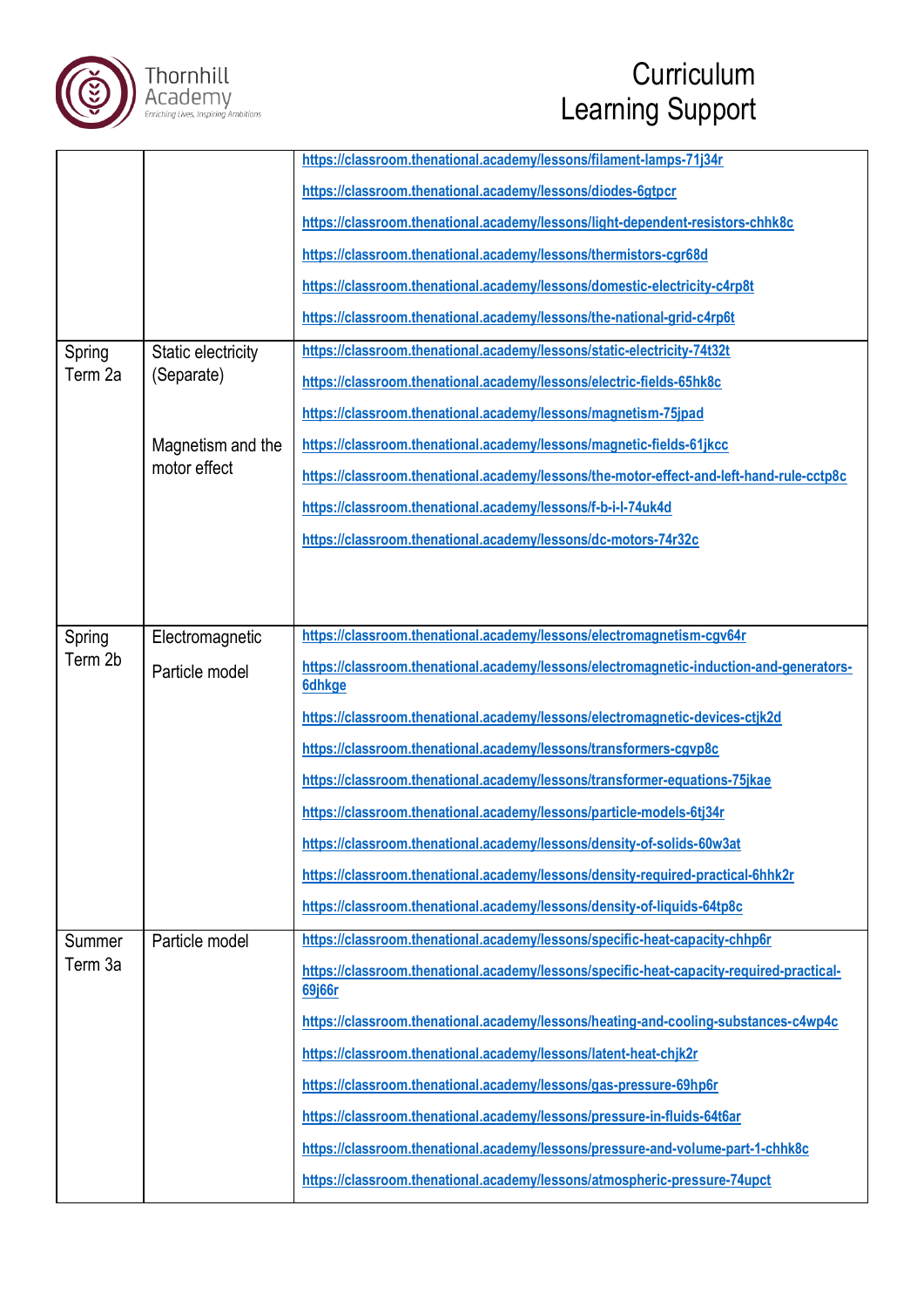

|         |                    | https://classroom.thenational.academy/lessons/filament-lamps-71j34r                                                                                          |
|---------|--------------------|--------------------------------------------------------------------------------------------------------------------------------------------------------------|
|         |                    | https://classroom.thenational.academy/lessons/diodes-6gtpcr                                                                                                  |
|         |                    | https://classroom.thenational.academy/lessons/light-dependent-resistors-chhk8c                                                                               |
|         |                    | https://classroom.thenational.academy/lessons/thermistors-cgr68d                                                                                             |
|         |                    | https://classroom.thenational.academy/lessons/domestic-electricity-c4rp8t                                                                                    |
|         |                    | https://classroom.thenational.academy/lessons/the-national-grid-c4rp6t                                                                                       |
| Spring  | Static electricity | https://classroom.thenational.academy/lessons/static-electricity-74t32t                                                                                      |
| Term 2a | (Separate)         | https://classroom.thenational.academy/lessons/electric-fields-65hk8c                                                                                         |
|         |                    | https://classroom.thenational.academy/lessons/magnetism-75jpad                                                                                               |
|         | Magnetism and the  | https://classroom.thenational.academy/lessons/magnetic-fields-61jkcc                                                                                         |
|         | motor effect       | https://classroom.thenational.academy/lessons/the-motor-effect-and-left-hand-rule-cctp8c                                                                     |
|         |                    | https://classroom.thenational.academy/lessons/f-b-i-l-74uk4d                                                                                                 |
|         |                    | https://classroom.thenational.academy/lessons/dc-motors-74r32c                                                                                               |
|         |                    |                                                                                                                                                              |
|         |                    |                                                                                                                                                              |
| Spring  | Electromagnetic    | https://classroom.thenational.academy/lessons/electromagnetism-cgv64r                                                                                        |
| Term 2b | Particle model     | https://classroom.thenational.academy/lessons/electromagnetic-induction-and-generators-                                                                      |
|         |                    | <b>6dhkge</b>                                                                                                                                                |
|         |                    | https://classroom.thenational.academy/lessons/electromagnetic-devices-ctjk2d                                                                                 |
|         |                    | https://classroom.thenational.academy/lessons/transformers-cgvp8c                                                                                            |
|         |                    | https://classroom.thenational.academy/lessons/transformer-equations-75jkae                                                                                   |
|         |                    | https://classroom.thenational.academy/lessons/particle-models-6tj34r                                                                                         |
|         |                    | https://classroom.thenational.academy/lessons/density-of-solids-60w3at                                                                                       |
|         |                    | https://classroom.thenational.academy/lessons/density-required-practical-6hhk2r                                                                              |
|         |                    | https://classroom.thenational.academy/lessons/density-of-liquids-64tp8c                                                                                      |
| Summer  | Particle model     | https://classroom.thenational.academy/lessons/specific-heat-capacity-chhp6r                                                                                  |
| Term 3a |                    | https://classroom.thenational.academy/lessons/specific-heat-capacity-required-practical-<br>69 <sub>i66r</sub>                                               |
|         |                    | https://classroom.thenational.academy/lessons/heating-and-cooling-substances-c4wp4c                                                                          |
|         |                    | https://classroom.thenational.academy/lessons/latent-heat-chjk2r                                                                                             |
|         |                    |                                                                                                                                                              |
|         |                    | https://classroom.thenational.academy/lessons/gas-pressure-69hp6r                                                                                            |
|         |                    | https://classroom.thenational.academy/lessons/pressure-in-fluids-64t6ar                                                                                      |
|         |                    |                                                                                                                                                              |
|         |                    | https://classroom.thenational.academy/lessons/pressure-and-volume-part-1-chhk8c<br>https://classroom.thenational.academy/lessons/atmospheric-pressure-74upct |